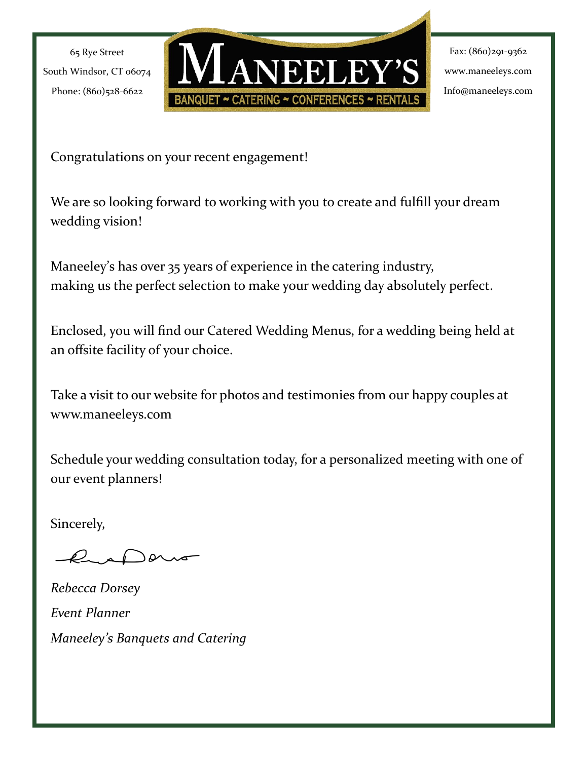

Fax: (860)291-9362 www.maneeleys.com Info@maneeleys.com

Congratulations on your recent engagement!

We are so looking forward to working with you to create and fulfill your dream wedding vision!

Maneeley's has over 35 years of experience in the catering industry, making us the perfect selection to make your wedding day absolutely perfect.

Enclosed, you will find our Catered Wedding Menus, for a wedding being held at an offsite facility of your choice.

Take a visit to our website for photos and testimonies from our happy couples at www.maneeleys.com

Schedule your wedding consultation today, for a personalized meeting with one of our event planners!

Sincerely,

 $\alpha$ 

*Rebecca Dorsey Event Planner Maneeley's Banquets and Catering*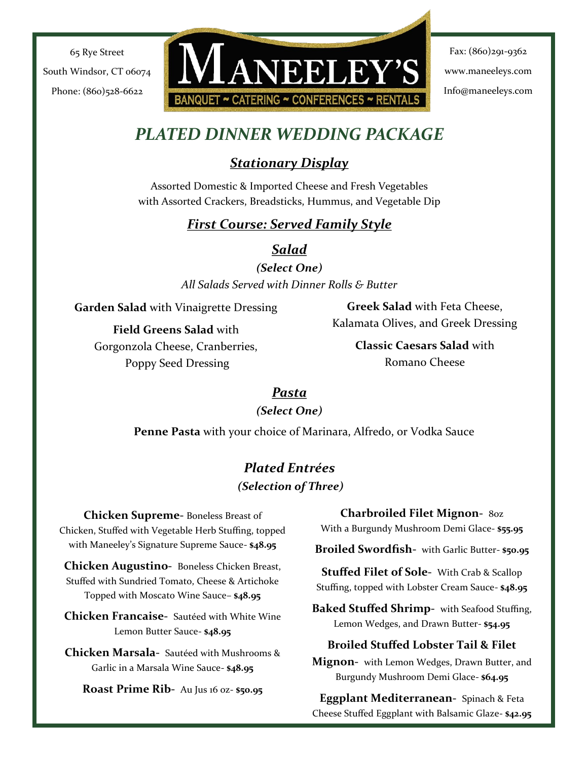**ANEELEY'S** BANQUET ~ CATERING ~ CONFERENCES ~ RENTA

Fax: (860)291-9362 www.maneeleys.com Info@maneeleys.com

# *PLATED DINNER WEDDING PACKAGE*

# *Stationary Display*

Assorted Domestic & Imported Cheese and Fresh Vegetables with Assorted Crackers, Breadsticks, Hummus, and Vegetable Dip

### *First Course: Served Family Style*

*Salad*

*(Select One) All Salads Served with Dinner Rolls & Butter*

**Garden Salad** with Vinaigrette Dressing

**Field Greens Salad** with Gorgonzola Cheese, Cranberries, Poppy Seed Dressing

**Greek Salad** with Feta Cheese, Kalamata Olives, and Greek Dressing

> **Classic Caesars Salad** with Romano Cheese

### *Pasta*

### *(Select One)*

**Penne Pasta** with your choice of Marinara, Alfredo, or Vodka Sauce

### *Plated Entrées (Selection of Three)*

**Chicken Supreme-** Boneless Breast of Chicken, Stuffed with Vegetable Herb Stuffing, topped with Maneeley's Signature Supreme Sauce- **\$48.95**

**Chicken Augustino-** Boneless Chicken Breast, Stuffed with Sundried Tomato, Cheese & Artichoke Topped with Moscato Wine Sauce– **\$48.95**

**Chicken Francaise-** Sautéed with White Wine Lemon Butter Sauce- **\$48.95**

**Chicken Marsala-** Sautéed with Mushrooms & Garlic in a Marsala Wine Sauce- **\$48.95**

**Roast Prime Rib-** Au Jus 16 oz- **\$50.95**

**Charbroiled Filet Mignon-** 8oz With a Burgundy Mushroom Demi Glace- **\$55.95**

**Broiled Swordfish-** with Garlic Butter- **\$50.95**

**Stuffed Filet of Sole-** With Crab & Scallop Stuffing, topped with Lobster Cream Sauce- **\$48.95**

**Baked Stuffed Shrimp-** with Seafood Stuffing, Lemon Wedges, and Drawn Butter- **\$54.95**

### **Broiled Stuffed Lobster Tail & Filet**

**Mignon-** with Lemon Wedges, Drawn Butter, and Burgundy Mushroom Demi Glace- **\$64.95**

**Eggplant Mediterranean-** Spinach & Feta Cheese Stuffed Eggplant with Balsamic Glaze- **\$42.95**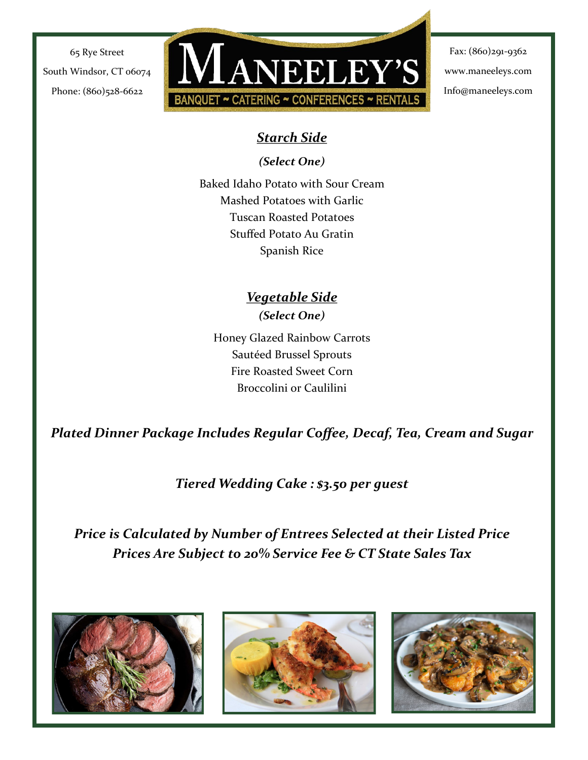

Fax: (860)291-9362 www.maneeleys.com Info@maneeleys.com

### *Starch Side*

*(Select One)*

Baked Idaho Potato with Sour Cream Mashed Potatoes with Garlic Tuscan Roasted Potatoes Stuffed Potato Au Gratin Spanish Rice

### *Vegetable Side (Select One)*

Honey Glazed Rainbow Carrots Sautéed Brussel Sprouts Fire Roasted Sweet Corn Broccolini or Caulilini

*Plated Dinner Package Includes Regular Coffee, Decaf, Tea, Cream and Sugar*

*Tiered Wedding Cake : \$3.50 per guest*

*Price is Calculated by Number of Entrees Selected at their Listed Price Prices Are Subject to 20% Service Fee & CT State Sales Tax*





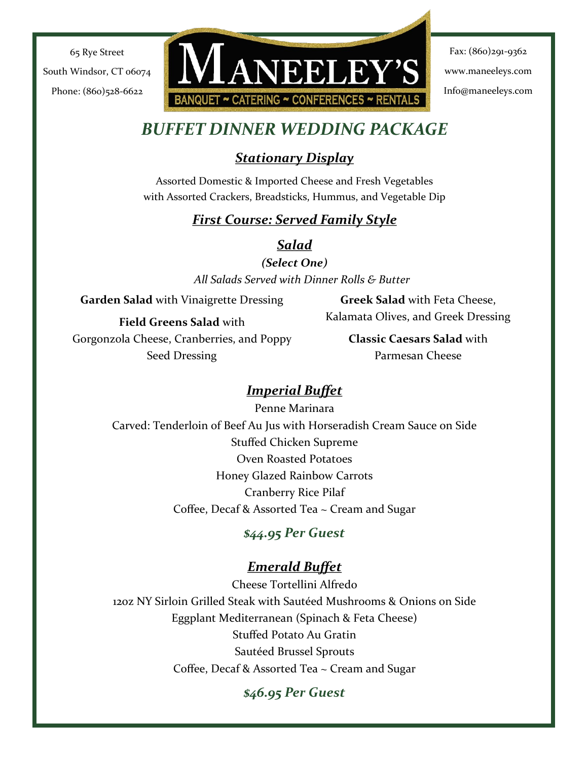**ANEELEY'S** BANQUET ~ CATERING ~ CONFERENCES ~ RENTA

Fax: (860)291-9362 www.maneeleys.com Info@maneeleys.com

# *BUFFET DINNER WEDDING PACKAGE*

### *Stationary Display*

Assorted Domestic & Imported Cheese and Fresh Vegetables with Assorted Crackers, Breadsticks, Hummus, and Vegetable Dip

### *First Course: Served Family Style*

*Salad*

*(Select One) All Salads Served with Dinner Rolls & Butter*

**Garden Salad** with Vinaigrette Dressing

**Greek Salad** with Feta Cheese, Kalamata Olives, and Greek Dressing

**Field Greens Salad** with

Gorgonzola Cheese, Cranberries, and Poppy Seed Dressing

**Classic Caesars Salad** with Parmesan Cheese

### *Imperial Buffet*

Penne Marinara Carved: Tenderloin of Beef Au Jus with Horseradish Cream Sauce on Side Stuffed Chicken Supreme Oven Roasted Potatoes Honey Glazed Rainbow Carrots Cranberry Rice Pilaf Coffee, Decaf & Assorted Tea ~ Cream and Sugar

### *\$44.95 Per Guest*

# *Emerald Buffet*

Cheese Tortellini Alfredo 120Z NY Sirloin Grilled Steak with Sautéed Mushrooms & Onions on Side Eggplant Mediterranean (Spinach & Feta Cheese) Stuffed Potato Au Gratin Sautéed Brussel Sprouts Coffee, Decaf & Assorted Tea ~ Cream and Sugar

# *\$46.95 Per Guest*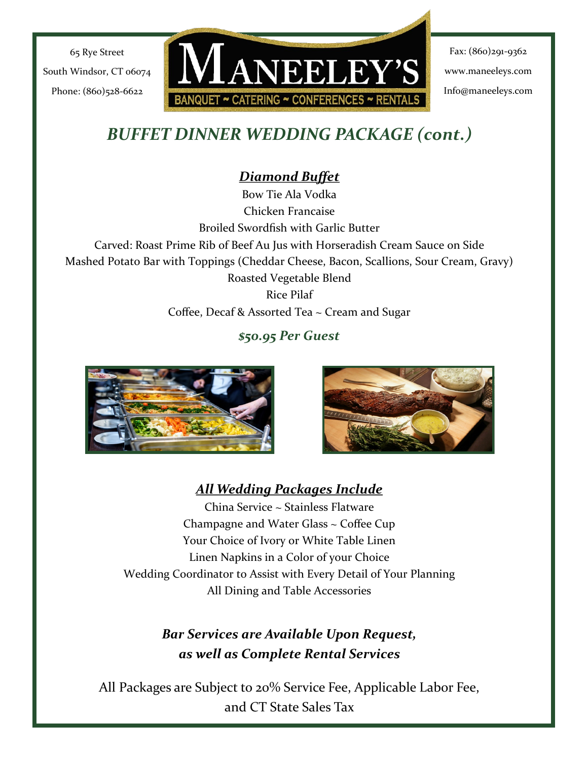

Fax: (860)291-9362 www.maneeleys.com Info@maneeleys.com

# *BUFFET DINNER WEDDING PACKAGE (cont.)*

# *Diamond Buffet*

Bow Tie Ala Vodka Chicken Francaise Broiled Swordfish with Garlic Butter Carved: Roast Prime Rib of Beef Au Jus with Horseradish Cream Sauce on Side Mashed Potato Bar with Toppings (Cheddar Cheese, Bacon, Scallions, Sour Cream, Gravy) Roasted Vegetable Blend Rice Pilaf Coffee, Decaf & Assorted Tea ~ Cream and Sugar

# *\$50.95 Per Guest*





# *All Wedding Packages Include*

China Service ~ Stainless Flatware Champagne and Water Glass ~ Coffee Cup Your Choice of Ivory or White Table Linen Linen Napkins in a Color of your Choice Wedding Coordinator to Assist with Every Detail of Your Planning All Dining and Table Accessories

# *Bar Services are Available Upon Request, as well as Complete Rental Services*

All Packages are Subject to 20% Service Fee, Applicable Labor Fee, and CT State Sales Tax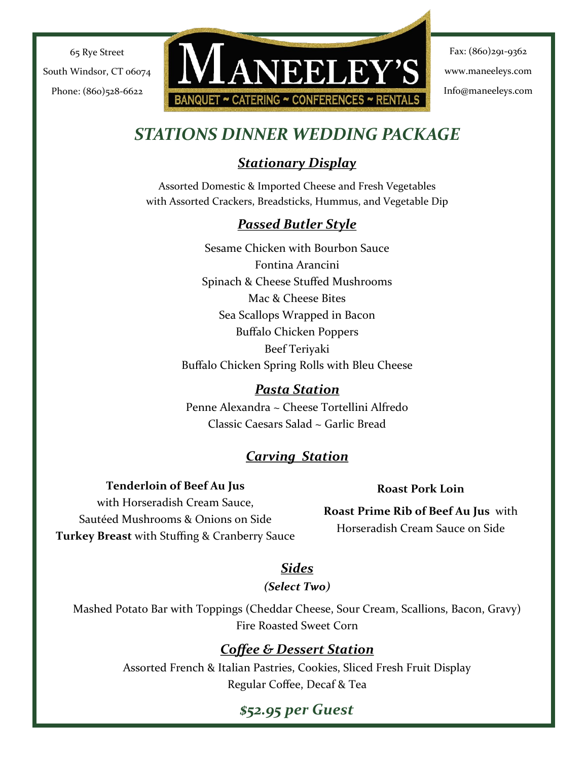**ANEELEY'S** BANQUET ~ CATERING ~ CONFERENCES ~ RENTA

Fax: (860)291-9362 www.maneeleys.com Info@maneeleys.com

# *STATIONS DINNER WEDDING PACKAGE*

# *Stationary Display*

Assorted Domestic & Imported Cheese and Fresh Vegetables with Assorted Crackers, Breadsticks, Hummus, and Vegetable Dip

### *Passed Butler Style*

Sesame Chicken with Bourbon Sauce Fontina Arancini Spinach & Cheese Stuffed Mushrooms Mac & Cheese Bites Sea Scallops Wrapped in Bacon Buffalo Chicken Poppers Beef Teriyaki Buffalo Chicken Spring Rolls with Bleu Cheese

### *Pasta Station*

Penne Alexandra ~ Cheese Tortellini Alfredo Classic Caesars Salad ~ Garlic Bread

# *Carving Station*

**Tenderloin of Beef Au Jus**  with Horseradish Cream Sauce, Sautéed Mushrooms & Onions on Side **Turkey Breast** with Stuffing & Cranberry Sauce

#### **Roast Pork Loin**

**Roast Prime Rib of Beef Au Jus** with Horseradish Cream Sauce on Side

### *Sides*

*(Select Two)*

Mashed Potato Bar with Toppings (Cheddar Cheese, Sour Cream, Scallions, Bacon, Gravy) Fire Roasted Sweet Corn

### *Coffee & Dessert Station*

Assorted French & Italian Pastries, Cookies, Sliced Fresh Fruit Display Regular Coffee, Decaf & Tea

# *\$52.95 per Guest*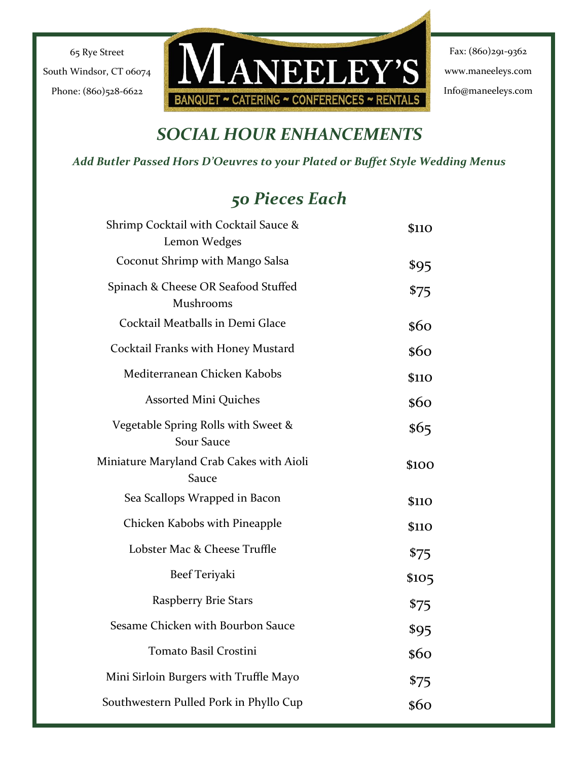

Fax: (860)291-9362 www.maneeleys.com Info@maneeleys.com

# *SOCIAL HOUR ENHANCEMENTS*

#### *Add Butler Passed Hors D'Oeuvres to your Plated or Buffet Style Wedding Menus*

# *50 Pieces Each*

| Shrimp Cocktail with Cocktail Sauce &<br>Lemon Wedges    | <b>\$110</b> |
|----------------------------------------------------------|--------------|
| Coconut Shrimp with Mango Salsa                          | \$95         |
| Spinach & Cheese OR Seafood Stuffed<br>Mushrooms         | \$75         |
| Cocktail Meatballs in Demi Glace                         | \$60         |
| Cocktail Franks with Honey Mustard                       | \$60         |
| Mediterranean Chicken Kabobs                             | <b>\$110</b> |
| <b>Assorted Mini Quiches</b>                             | \$60         |
| Vegetable Spring Rolls with Sweet &<br><b>Sour Sauce</b> | \$65         |
| Miniature Maryland Crab Cakes with Aioli<br>Sauce        | <b>\$100</b> |
| Sea Scallops Wrapped in Bacon                            | <b>\$110</b> |
| Chicken Kabobs with Pineapple                            | <b>\$110</b> |
| Lobster Mac & Cheese Truffle                             | \$75         |
| Beef Teriyaki                                            | \$105        |
| Raspberry Brie Stars                                     | \$75         |
| Sesame Chicken with Bourbon Sauce                        | \$95         |
| Tomato Basil Crostini                                    | \$60         |
| Mini Sirloin Burgers with Truffle Mayo                   | \$75         |
| Southwestern Pulled Pork in Phyllo Cup                   | \$60         |
|                                                          |              |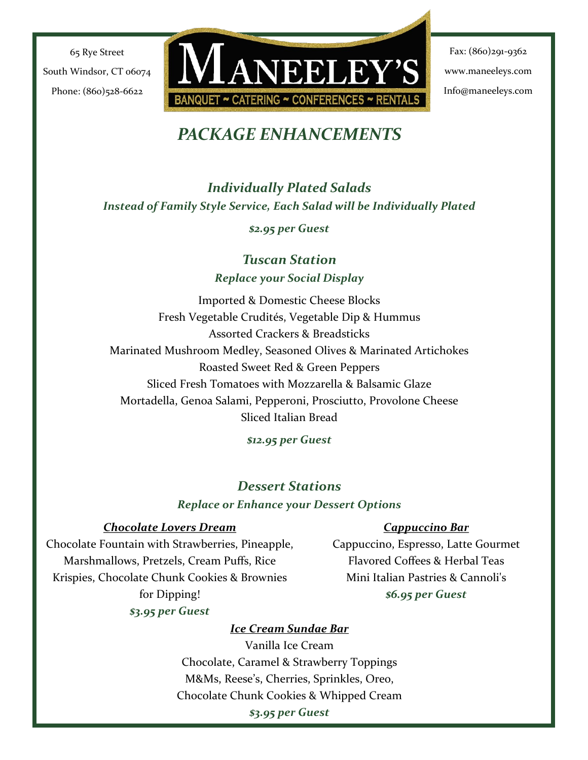

Fax: (860)291-9362 www.maneeleys.com Info@maneeleys.com

# *PACKAGE ENHANCEMENTS*

*Individually Plated Salads Instead of Family Style Service, Each Salad will be Individually Plated*

*\$2.95 per Guest*

*Tuscan Station Replace your Social Display*

Imported & Domestic Cheese Blocks Fresh Vegetable Crudités, Vegetable Dip & Hummus Assorted Crackers & Breadsticks Marinated Mushroom Medley, Seasoned Olives & Marinated Artichokes Roasted Sweet Red & Green Peppers Sliced Fresh Tomatoes with Mozzarella & Balsamic Glaze Mortadella, Genoa Salami, Pepperoni, Prosciutto, Provolone Cheese Sliced Italian Bread

*\$12.95 per Guest*

### *Dessert Stations Replace or Enhance your Dessert Options*

#### *Chocolate Lovers Dream*

Chocolate Fountain with Strawberries, Pineapple, Marshmallows, Pretzels, Cream Puffs, Rice Krispies, Chocolate Chunk Cookies & Brownies for Dipping! *\$3.95 per Guest*

#### *Cappuccino Bar*

Cappuccino, Espresso, Latte Gourmet Flavored Coffees & Herbal Teas Mini Italian Pastries & Cannoli's *\$6.95 per Guest*

#### *Ice Cream Sundae Bar*

Vanilla Ice Cream Chocolate, Caramel & Strawberry Toppings M&Ms, Reese's, Cherries, Sprinkles, Oreo, Chocolate Chunk Cookies & Whipped Cream *\$3.95 per Guest*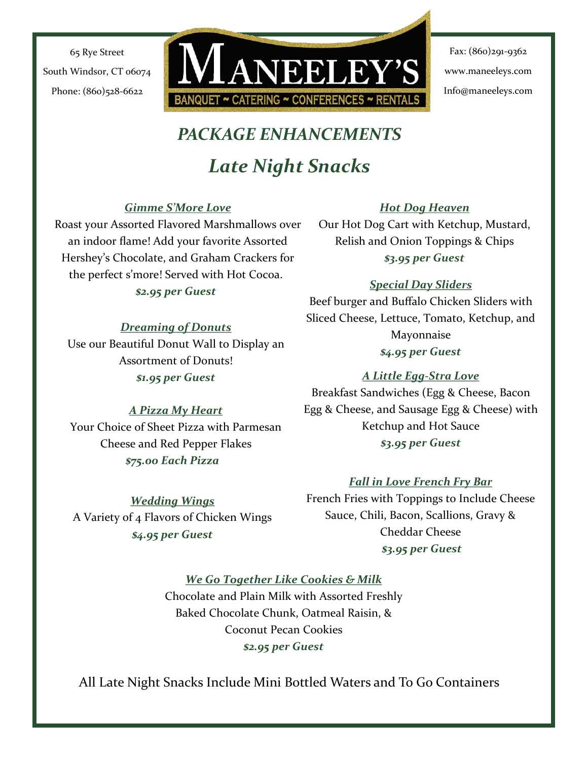

Fax: (860)291-9362 www.maneeleys.com Info@maneeleys.com

# *PACKAGE ENHANCEMENTS*

# *Late Night Snacks*

#### *Gimme S'More Love*

Roast your Assorted Flavored Marshmallows over an indoor flame! Add your favorite Assorted Hershey's Chocolate, and Graham Crackers for the perfect s'more! Served with Hot Cocoa.

#### *\$2.95 per Guest*

#### *Dreaming of Donuts*

Use our Beautiful Donut Wall to Display an Assortment of Donuts! *\$1.95 per Guest*

#### *Hot Dog Heaven*

Our Hot Dog Cart with Ketchup, Mustard, Relish and Onion Toppings & Chips *\$3.95 per Guest*

#### *Special Day Sliders*

Beef burger and Buffalo Chicken Sliders with Sliced Cheese, Lettuce, Tomato, Ketchup, and Mayonnaise *\$4.95 per Guest*

### *A Little Egg-Stra Love*

*A Pizza My Heart* Your Choice of Sheet Pizza with Parmesan Cheese and Red Pepper Flakes *\$75.00 Each Pizza*

Breakfast Sandwiches (Egg & Cheese, Bacon Egg & Cheese, and Sausage Egg & Cheese) with Ketchup and Hot Sauce *\$3.95 per Guest*

#### *Fall in Love French Fry Bar*

French Fries with Toppings to Include Cheese Sauce, Chili, Bacon, Scallions, Gravy & Cheddar Cheese *\$3.95 per Guest* 

# *\$4.95 per Guest*

*Wedding Wings*  A Variety of 4 Flavors of Chicken Wings

*We Go Together Like Cookies & Milk* 

Chocolate and Plain Milk with Assorted Freshly Baked Chocolate Chunk, Oatmeal Raisin, & Coconut Pecan Cookies *\$2.95 per Guest* 

All Late Night Snacks Include Mini Bottled Waters and To Go Containers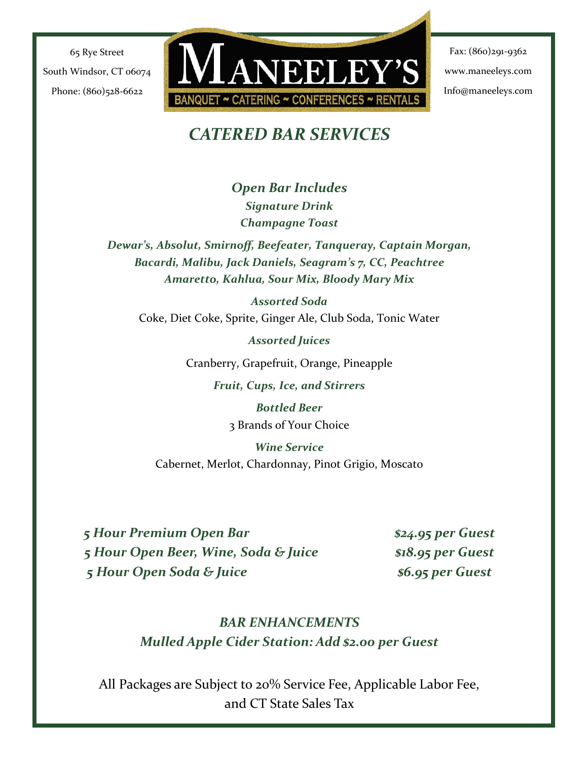

Fax: (860)291-9362 www.maneeleys.com Info@maneeleys.com

# *CATERED BAR SERVICES*

*Open Bar Includes Signature Drink Champagne Toast*

*Dewar's, Absolut, Smirnoff, Beefeater, Tanqueray, Captain Morgan, Bacardi, Malibu, Jack Daniels, Seagram's 7, CC, Peachtree Amaretto, Kahlua, Sour Mix, Bloody Mary Mix*

*Assorted Soda* Coke, Diet Coke, Sprite, Ginger Ale, Club Soda, Tonic Water

*Assorted Juices*

Cranberry, Grapefruit, Orange, Pineapple

*Fruit, Cups, Ice, and Stirrers*

*Bottled Beer* 3 Brands of Your Choice

*Wine Service*  Cabernet, Merlot, Chardonnay, Pinot Grigio, Moscato

*5 Hour Premium Open Bar \$24.95 per Guest 5 Hour Open Beer, Wine, Soda & Juice \$18.95 per Guest 5 Hour Open Soda & Juice \$6.95 per Guest*

# *BAR ENHANCEMENTS Mulled Apple Cider Station: Add \$2.00 per Guest*

All Packages are Subject to 20% Service Fee, Applicable Labor Fee, and CT State Sales Tax